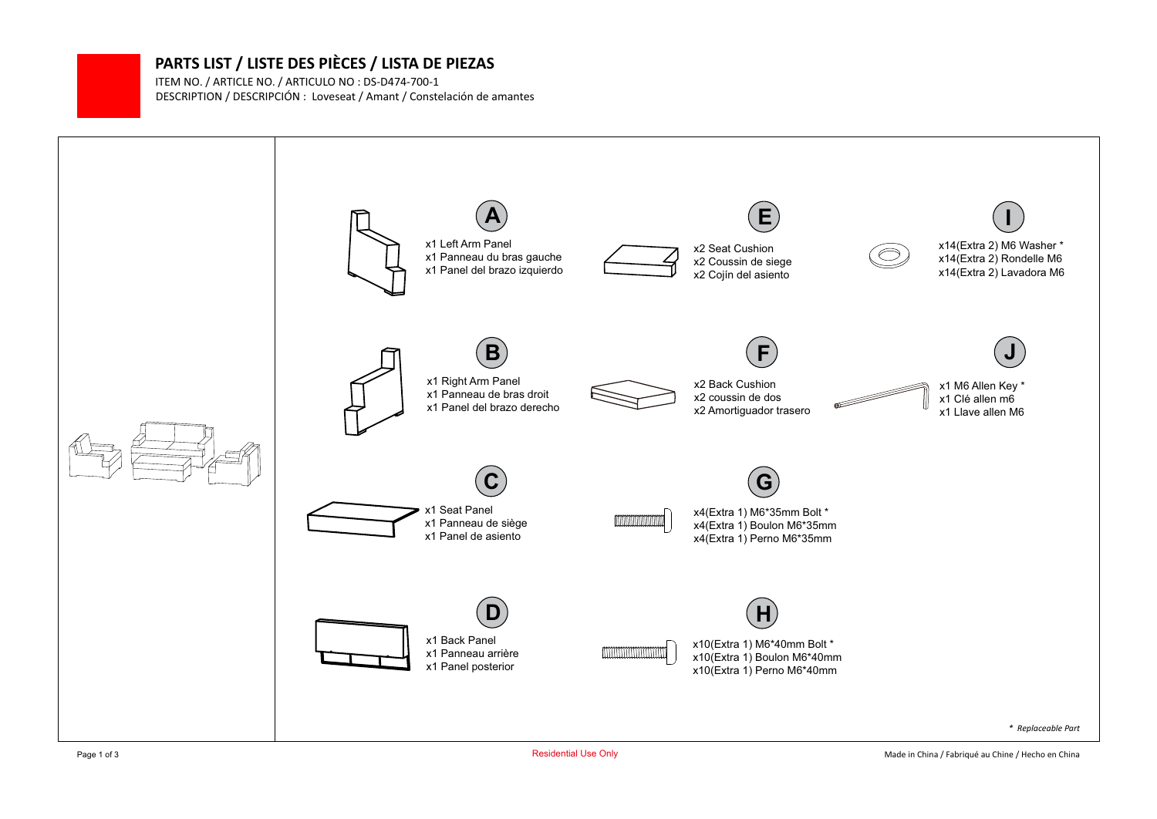## **PARTS LIST / LISTE DES PIÈCES / LISTA DE PIEZAS**

DESCRIPTION / DESCRIPCIÓN : Loveseat / Amant / Constelación de amantes ITEM NO. / ARTICLE NO. / ARTICULO NO : DS-D474-700-1

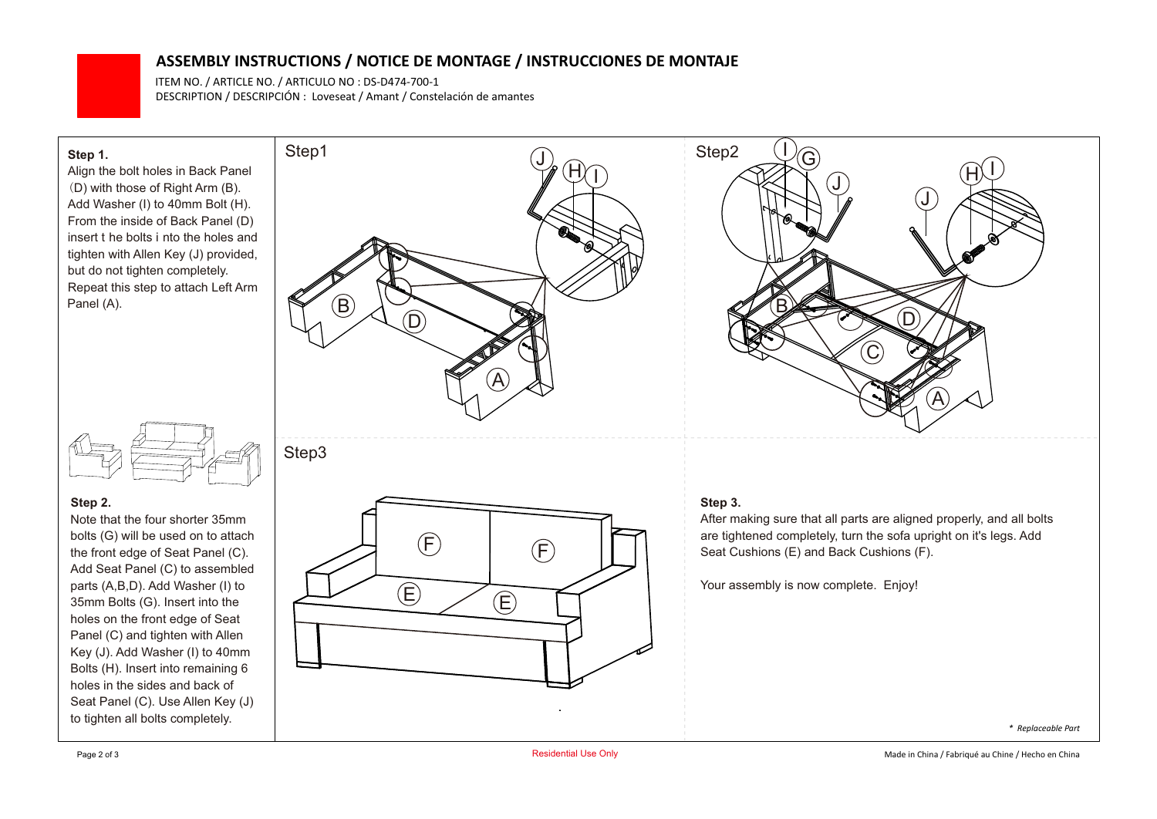## **ASSEMBLY INSTRUCTIONS / NOTICE DE MONTAGE / INSTRUCCIONES DE MONTAJE**

DESCRIPTION / DESCRIPCIÓN : Loveseat / Amant / Constelación de amantes ITEM NO. / ARTICLE NO. / ARTICULO NO : DS-D474-700-1